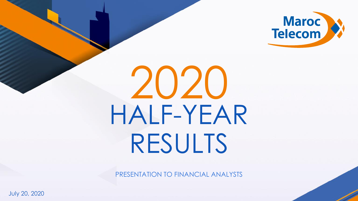

# HALF-YEAR RESULTS 2020

PRESENTATION TO FINANCIAL ANALYSTS

July 20, 2020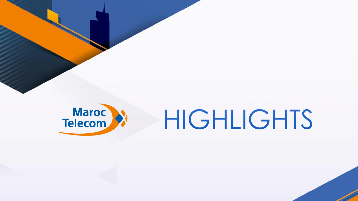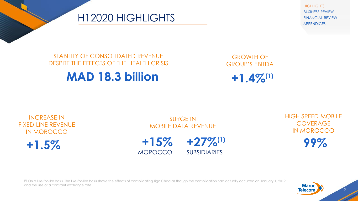**HIGHLIGHTS** BUSINESS REVIEW FINANCIAL REVIEW APPENDICES

### H12020 HIGHLIGHTS

#### STABILITY OF CONSOLIDATED REVENUE DESPITE THE EFFECTS OF THE HEALTH CRISIS

## **MAD 18.3 billion**

GROWTH OF GROUP'S EBITDA

 $+1.4\%^{(1)}$ 

### INCREASE IN FIXED-LINE REVENUE IN MOROCCO

 $+1.5%$ 

SURGE IN MOBILE DATA REVENUE



HIGH SPEED MOBILE **COVERAGE** IN MOROCCO

99%

(1) On a like-for-like basis. The like-for-like basis shows the effects of consolidating Tigo Chad as though the consolidation had actually occurred on January 1, 2019, and the use of a constant exchange rate.

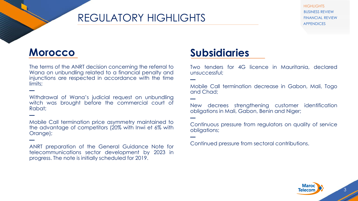## REGULATORY HIGHLIGHTS

**HIGHLIGHTS** BUSINESS REVIEW FINANCIAL REVIEW APPENDICES

## **Morocco**

**—**

**—**

**—**

The terms of the ANRT decision concerning the referral to Wana on unbundling related to a financial penalty and injunctions are respected in accordance with the time limits;

Withdrawal of Wana's judicial request on unbundling witch was brought before the commercial court of Rabat;

Mobile Call termination price asymmetry maintained to the advantage of competitors (20% with Inwi et 6% with Orange);

ANRT preparation of the General Guidance Note for telecommunications sector development by 2023 in progress. The note is initially scheduled for 2019.

## **Subsidiaries**

**—**

**—**

**—**

**—**

Two tenders for 4G licence in Mauritania, declared unsuccessful;

Mobile Call termination decrease in Gabon, Mali, Togo and Chad;

New decrees strengthening customer identification obligations in Mali, Gabon, Benin and Niger;

Continuous pressure from regulators on quality of service obligations;

Continued pressure from sectoral contributions.

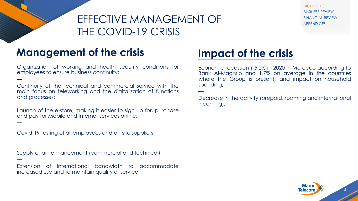## EFFECTIVE MANAGEMENT OF THE COVID-19 CRISIS

## **Management of the crisis**

**—**

**—**

**—**

**—**

**—**

Organization of working and health security conditions for employees to ensure business continuity;

Continuity of the technical and commercial service with the main focus on teleworking and the digitalization of functions and processes;

Launch of the e-store, making it easier to sign up for, purchase and pay for Mobile and Internet services online;

Covid-19 testing of all employees and on-site suppliers;

Supply chain enhancement (commercial and technical);

Extension of international bandwidth to accommodate increased use and to maintain quality of service.

## **Impact of the crisis**

**—**

Economic recession (-5.2% in 2020 in Morocco according to Bank Al-Maghrib and 1.7% on average in the countries where the Group is present) and impact on household spending;

Decrease in the activity (prepaid, roaming and international incoming);



**HIGHLIGHTS** BUSINESS REVIEW FINANCIAL REVIEW APPENDICES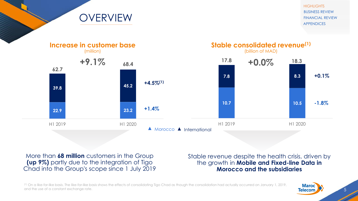**HIGHLIGHTS** BUSINESS REVIEW FINANCIAL REVIEW APPENDICES



More than **68 million** customers in the Group **(up 9%)** partly due to the integration of Tigo Chad into the Group's scope since 1 July 2019

**OVERVIEW** 

Stable revenue despite the health crisis, driven by the growth in **Mobile and Fixed-line Data in Morocco and the subsidiaries**

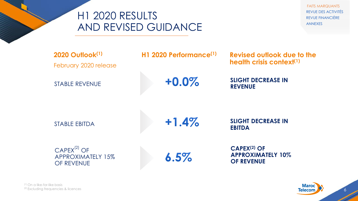

FAITS MARQUANTS REVUE DES ACTIVITÉS REVUE FINANCIÈRE ANNEXES

| <b>2020 Outlook(1)</b><br>February 2020 release     | H <sub>1</sub> 2020 Performance <sup>(1)</sup> | Revised outlook due to the<br>health crisis context $(1)$                      |  |  |  |
|-----------------------------------------------------|------------------------------------------------|--------------------------------------------------------------------------------|--|--|--|
| <b>STABLE REVENUE</b>                               | $+0.0\%$                                       | <b>SLIGHT DECREASE IN</b><br><b>REVENUE</b>                                    |  |  |  |
| <b>STABLE EBITDA</b>                                | $+1.4%$                                        | <b>SLIGHT DECREASE IN</b><br><b>EBITDA</b>                                     |  |  |  |
| $CAPEX^{(2)}$ OF<br>APPROXIMATELY 15%<br>OF REVENUE | 6.5%                                           | <b>CAPEX<sup>(2)</sup> OF</b><br><b>APPROXIMATELY 10%</b><br><b>OF REVENUE</b> |  |  |  |



6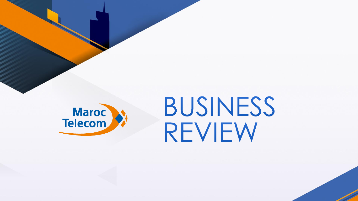

## BUSINESS REVIEW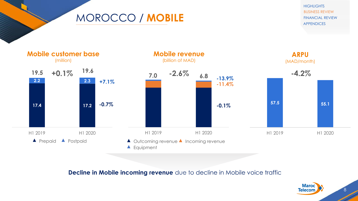MOROCCO / **MOBILE**

**HIGHLIGHTS** BUSINESS REVIEW FINANCIAL REVIEW APPENDICES



**Decline in Mobile incoming revenue** due to decline in Mobile voice traffic

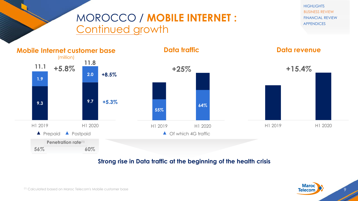## MOROCCO / **MOBILE INTERNET :** Continued growth





#### **Strong rise in Data traffic at the beginning of the health crisis**

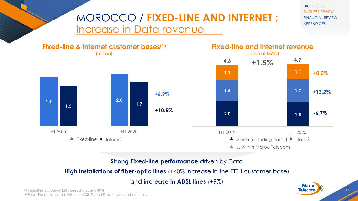## MOROCCO / **FIXED-LINE AND INTERNET :**  Increase in Data revenue

**HIGHLIGHTS** BUSINESS REVIEW FINANCIAL REVIEW APPENDICES



#### **Strong Fixed-line performance** driven by Data

#### **High installations of fiber-optic lines** (+40% increase in the FTTH customer base)

and **increase in ADSL lines** (+9%)

(1) Including low bandwidth, leased lines and FTTH (2) Fixed-line data includes Internet, ADSL TV and Data services to businesses Maroc

10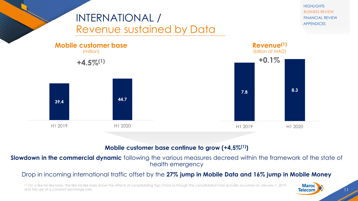

#### **Mobile customer base continue to grow (+4,5%(1))**

**Slowdown in the commercial dynamic** following the various measures decreed within the framework of the state of health emergency

#### Drop in incoming international traffic offset by the **27% jump in Mobile Data and 16% jump in Mobile Money**

(1) On a like-for-like basis. The like-for-like basis shows the effects of consolidating Tigo Chad as though the consolidation had actually occurred on January 1, 2019, and the use of a constant exchange rate.

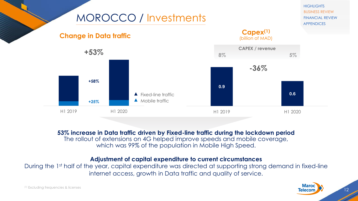

**53% increase in Data traffic driven by Fixed-line traffic during the lockdown period**

The rollout of extensions on 4G helped improve speeds and mobile coverage, which was 99% of the population in Mobile High Speed.

#### **Adjustment of capital expenditure to current circumstances**

During the 1<sup>st</sup> half of the year, capital expenditure was directed at supporting strong demand in fixed-line internet access, growth in Data traffic and quality of service.

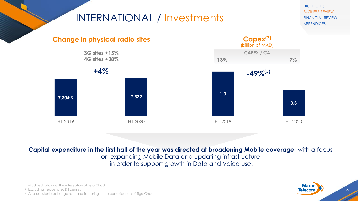## INTERNATIONAL / Investments

**HIGHLIGHTS** BUSINESS REVIEW FINANCIAL REVIEW APPENDICES



**Capital expenditure in the first half of the year was directed at broadening Mobile coverage,** with a focus on expanding Mobile Data and updating infrastructure in order to support growth in Data and Voice use.

(1) Modified following the integration of Tigo Chad (2) Excluding frequencies & licenses (3) At a constant exchange rate and factoring in the consolidation of Tigo Chad

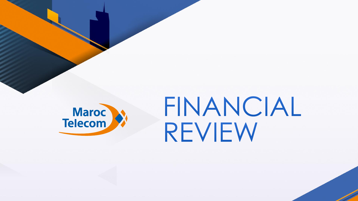

## FINANCIAL REVIEW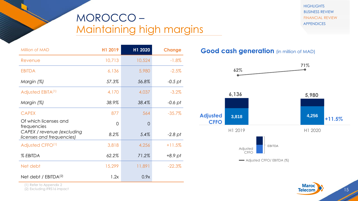## MOROCCO – Maintaining high margins

**HIGHLIGHTS** BUSINESS REVIEW FINANCIAL REVIEW APPENDICES

| Million of MAD                                          | H1 2019  | H1 2020        | Change    |
|---------------------------------------------------------|----------|----------------|-----------|
| Revenue                                                 | 10,713   | 10,524         | $-1.8%$   |
| <b>EBITDA</b>                                           | 6,136    | 5,980          | $-2.5%$   |
| Margin (%)                                              | 57.3%    | 56.8%          | $-0.5$ pt |
| Adjusted EBITA <sup>(1)</sup>                           | 4,170    | 4,037          | $-3.2%$   |
| Margin (%)                                              | 38.9%    | 38.4%          | $-0.6$ pt |
| <b>CAPEX</b>                                            | 877      | 564            | $-35.7%$  |
| Of which licenses and<br>frequencies                    | $\Omega$ | $\overline{0}$ |           |
| CAPEX / revenue (excluding<br>licenses and frequencies) | 8.2%     | 5.4%           | $-2.8$ pt |
| Adjusted CFFO <sup>(1)</sup>                            | 3,818    | 4,256          | $+11.5%$  |
| % EBITDA                                                | 62.2%    | 71.2%          | $+8.9$ pt |
| Net debt                                                | 15,299   | 11,891         | $-22.3%$  |
| Net debt / $EBITDA(2)$                                  | 1.2x     | 0.9x           |           |

#### **Good cash generation** (in million of MAD)



(1) Refer to Appendix 2

(2) Excluding IFRS16 impact

**Maroc Telecom**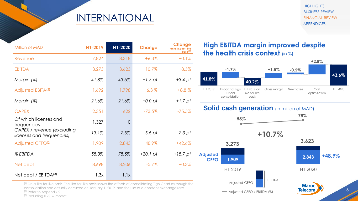## INTERNATIONAL

**HIGHLIGHTS** BUSINESS REVIEW FINANCIAL REVIEW APPENDICES

| Million of MAD                                          | H1-2019 | H1-2020  | Change             | Change<br>on a like-for-like<br>$\underline{\text{basis}}^{(1)}$ |
|---------------------------------------------------------|---------|----------|--------------------|------------------------------------------------------------------|
| Revenue                                                 | 7,824   | 8,318    | $+6.3%$            | $+0.1%$                                                          |
| <b>EBITDA</b>                                           | 3,273   | 3,623    | $+10.7%$           | $+8.5%$                                                          |
| Margin (%)                                              | 41.8%   | 43.6%    | $+1.7$ pt          | +3.4 pt                                                          |
| Adjusted EBITA <sup>(2)</sup>                           | 1,692   | 1,798    | $+6.3%$            | $+8.8\%$                                                         |
| Margin (%)                                              | 21.6%   | 21.6%    | $+0.0$ pt          | $+1.7$ pt                                                        |
| <b>CAPEX</b>                                            | 2,351   | 622      | $-73.5%$           | $-75.5\%$                                                        |
| Of which licenses and<br>frequencies                    | 1,327   | $\Omega$ |                    |                                                                  |
| CAPEX / revenue (excluding<br>licenses and frequencies) | 13.1%   | 7.5%     | $-5.6$ pt          | $-7.3$ pt                                                        |
| Adjusted CFFO <sup>(2)</sup>                            | 1,909   | 2,843    | $+48.9%$           | $+42.6%$                                                         |
| % EBITDA                                                | 58.3%   | 78.5%    | $+20.1 \text{ pt}$ | $+18.7$ pt                                                       |
| Net debt                                                | 8,698   | 8,206    | $-5.7\%$           | $+0.3%$                                                          |
| Net debt / $EBITDA(3)$                                  | 1.3x    | 1.1x     |                    |                                                                  |

(1) On a like-for-like basis. The like-for-like basis shows the effects of consolidating Tigo Chad as though the consolidation had actually occurred on January 1, 2019, and the use of a constant exchange rate (2) Refer to Appendix 2

#### (3) Excluding IFRS16 impact

**High EBITDA margin improved despite** the health crisis context  $(in %)$ 



#### **Solid cash generation** (in million of MAD)

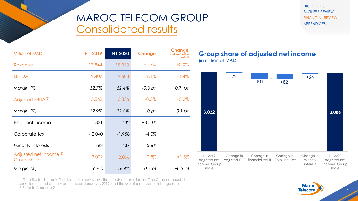## MAROC TELECOM GROUP Consolidated results

**HIGHLIGHTS** BUSINESS REVIEW FINANCIAL REVIEW APPENDICES

| Million of MAD                                    | H1-2019 | H1 2020  | Change    | <b>Change</b><br>on a like-for-like<br>basis <sup>(1)</sup> |
|---------------------------------------------------|---------|----------|-----------|-------------------------------------------------------------|
| Revenue                                           | 17,844  | 18,323   | $+2.7%$   | $+0.0%$                                                     |
| <b>EBITDA</b>                                     | 9,409   | 9,603    | $+2.1%$   | $+1.4%$                                                     |
| Margin (%)                                        | 52.7%   | 52.4%    | $-0.3$ pt | $+0.7$ pt                                                   |
| Adjusted EBITA <sup>(2)</sup>                     | 5,862   | 5,836    | $-0.5%$   | $+0.2%$                                                     |
| Margin (%)                                        | 32.9%   | 31.8%    | $-1.0$ pt | $+0.1$ pt                                                   |
| Financial income                                  | $-331$  | $-432$   | $+30.3%$  |                                                             |
| Corporate tax                                     | $-2040$ | $-1,958$ | $-4.0%$   |                                                             |
| Minority interests                                | $-463$  | $-437$   | $-5.6\%$  |                                                             |
| Adjusted net income <sup>(2)</sup><br>Group share | 3,022   | 3,006    | $-0.5%$   | $+1.5%$                                                     |
| Margin (%)                                        | 16.9%   | 16.4%    | $-0.5$ pt | $+0.3$ pt                                                   |

#### **Group share of adjusted net income** (in million of MAD)



(1) On a like-for-like basis. The like-for-like basis shows the effects of consolidating Tigo Chad as though the consolidation had actually occurred on January 1, 2019, and the use of a constant exchange rate <sup>(2)</sup> Refer to Appendix 2

**Maroc Telecom** 

17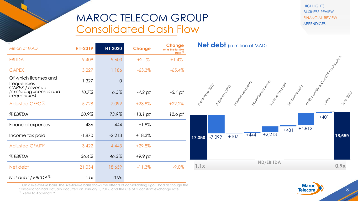## MAROC TELECOM GROUP Consolidated Cash Flow

**HIGHLIGHTS** BUSINESS REVIEW FINANCIAL REVIEW APPENDICES

| ╾<br>Million of MAD                                        | H1-2019  | H1 2020        | <b>Change</b> | <b>Change</b><br>on a like-for-like<br>basis <sup>(1)</sup> | <b>Net debt</b> (in million of MAD)                                                                    |
|------------------------------------------------------------|----------|----------------|---------------|-------------------------------------------------------------|--------------------------------------------------------------------------------------------------------|
| <b>EBITDA</b>                                              | 9,409    | 9,603          | $+2.1%$       | $+1.4%$                                                     |                                                                                                        |
| <b>CAPEX</b>                                               | 3,227    | 1,186          | $-63.3%$      | $-65.4%$                                                    |                                                                                                        |
| Of which licenses and<br>frequencies                       | 1,327    | $\overline{O}$ |               |                                                             | MAPI ROBOTA BOOMBOOK                                                                                   |
| CAPEX / revenue<br>(excluding licenses and<br>frequencies) | 10.7%    | 6.5%           | $-4.2$ pt     | $-5.4$ pt                                                   | Friday Maybash<br>License Manuscript<br>Indone Data<br>December 2019<br>Diridos Rocio<br>19it of Creck |
| Adjusted CFFO <sup>(2)</sup>                               | 5,728    | 7,099          | $+23.9%$      | $+22.2%$                                                    | VUMB 21                                                                                                |
| % EBITDA                                                   | 60.9%    | 73.9%          | $+13.1$ pt    | $+12.6$ pt                                                  | $+401$                                                                                                 |
| Financial expenses                                         | $-436$   | $-444$         | $+1.9%$       |                                                             | $+4,812$<br>$+431$                                                                                     |
| Income tax paid                                            | $-1,870$ | $-2,213$       | $+18,3%$      |                                                             | $+444$ $+2,213$<br>18,659<br>$+107$<br>$-7,099$<br>17,350                                              |
| <b>Adjusted CFAIT(2)</b>                                   | 3,422    | 4,443          | $+29,8%$      |                                                             |                                                                                                        |
| % EBITDA                                                   | 36.4%    | 46.3%          | $+9.9$ pt     |                                                             |                                                                                                        |
| Net debt                                                   | 21,034   | 18,659         | $-11.3%$      | $-9.0\%$                                                    | <b>ND/EBITDA</b><br>0.9x<br>1.1x                                                                       |
| Net debt / $EBITDA(3)$                                     | 1.1x     | 0.9x           |               |                                                             |                                                                                                        |



(1) On a like-for-like basis. The like-for-like basis shows the effects of consolidating Tigo Chad as though the consolidation had actually occurred on January 1, 2019, and the use of a constant exchange rate. (2) Refer to Appendix 2

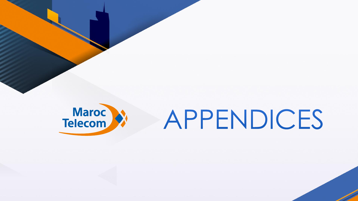

## APPENDICES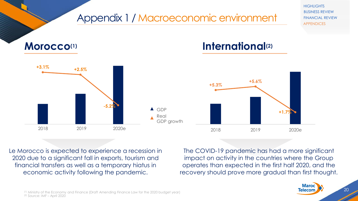

Le Morocco is expected to experience a recession in 2020 due to a significant fall in exports, tourism and financial transfers as well as a temporary hiatus in economic activity following the pandemic.

The COVID-19 pandemic has had a more significant impact on activity in the countries where the Group operates than expected in the first half 2020, and the recovery should prove more gradual than first thought.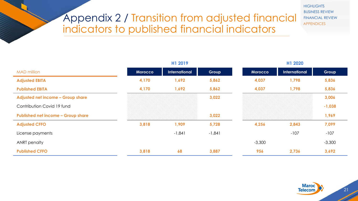## Appendix 2 / Transition from adjusted financial indicators to published financial indicators

**HIGHLIGHTS** BUSINESS REVIEW FINANCIAL REVIEW APPENDICES

|                                           |         | H1 2019       |          |          | H1 2020       |          |  |  |
|-------------------------------------------|---------|---------------|----------|----------|---------------|----------|--|--|
| <b>MAD</b> million                        | Morocco | International | Group    | Morocco  | International | Group    |  |  |
| <b>Adjusted EBITA</b>                     | 4,170   | 1,692         | 5,862    | 4,037    | 1,798         | 5,836    |  |  |
| <b>Published EBITA</b>                    | 4,170   | 1,692         | 5,862    | 4,037    | 1,798         | 5,836    |  |  |
| Adjusted net income - Group share         |         |               | 3,022    |          |               | 3,006    |  |  |
| Contribution Covid 19 fund                |         |               |          |          |               | $-1,038$ |  |  |
| <b>Published net income - Group share</b> |         |               | 3,022    |          |               | 1,969    |  |  |
| <b>Adjusted CFFO</b>                      | 3,818   | 1,909         | 5,728    | 4,256    | 2,843         | 7,099    |  |  |
| License payments                          |         | $-1,841$      | $-1,841$ |          | $-107$        | $-107$   |  |  |
| ANRT penalty                              |         |               |          | $-3,300$ |               | $-3,300$ |  |  |
| <b>Published CFFO</b>                     | 3,818   | 68            | 3,887    | 956      | 2,736         | 3,692    |  |  |

**Maroc Telecom**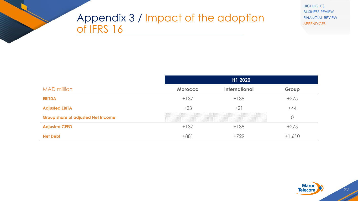## Appendix 3 / Impact of the adoption of IFRS 16

**HIGHLIGHTS** BUSINESS REVIEW FINANCIAL REVIEW APPENDICES

|                                           | H1 2020        |                      |                |  |  |  |
|-------------------------------------------|----------------|----------------------|----------------|--|--|--|
| <b>MAD million</b>                        | <b>Morocco</b> | <b>International</b> | Group          |  |  |  |
| <b>EBITDA</b>                             | $+137$         | $+138$               | $+275$         |  |  |  |
| <b>Adjusted EBITA</b>                     | $+23$          | $+21$                | $+44$          |  |  |  |
| <b>Group share of adjusted Net Income</b> |                |                      | $\overline{O}$ |  |  |  |
| <b>Adjusted CFFO</b>                      | $+137$         | $+138$               | $+275$         |  |  |  |
| <b>Net Debt</b>                           | $+881$         | $+729$               | $+1,610$       |  |  |  |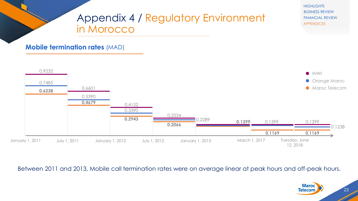

Between 2011 and 2013, Mobile call termination rates were on average linear at peak hours and off-peak hours.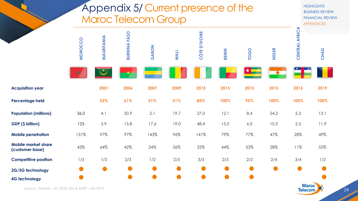## Appendix 5/ Current presence of the Maroc Telecom Group

**HIGHLIGHTS** BUSINESS REVIEW FINANCIAL REVIEW APPENDICES

|                                                 | MOROCCO<br>★ | MAURITANIA | FASO<br>BURKINA | GABON     | <b>MALI</b> | <b>CÔTE D'IVOIRE</b> | <b>BENIN</b> | <b>TOGO</b><br>★ | <b>NIGER</b> | AFRICA<br><b>CENTRAL</b> | CHAD |
|-------------------------------------------------|--------------|------------|-----------------|-----------|-------------|----------------------|--------------|------------------|--------------|--------------------------|------|
| <b>Acquisition year</b>                         |              | 2001       | 2006            | 2007      | 2009        | 2015                 | 2015         | 2015             | 2015         | 2015                     | 2019 |
| Percentage held                                 |              | 52%        | 61%             | 51%       | 51%         | 85%                  | 100%         | 95%              | 100%         | 100%                     | 100% |
| <b>Population (millions)</b>                    | 36.0         | 4.1        | 20.9            | 2.1       | 19.7        | 27.0                 | 12.1         | 8.4              | 24.2         | 5.3                      | 13.1 |
| GDP (\$ billion)                                | 125          | 5.9        | 15.8            | 17.6      | 19.0        | 48.4                 | 15.5         | $6.0\,$          | 10.3         | 2.5                      | 11.9 |
| <b>Mobile penetration</b>                       | 131%         | 97%        | 97%             | 143%      | 96%         | 141%                 | 79%          | 77%              | 47%          | 28%                      | 49%  |
| <b>Mobile market share</b><br>(customer base)   | 43%          | 64%        | 42%             | 54%       | 36%         | 25%                  | 44%          | 53%              | 28%          | 11%                      | 52%  |
| <b>Competitive position</b>                     | 1/3          | 1/3        | 2/3             | 1/2       | 2/3         | 3/3                  | 2/3          | 2/2              | 2/4          | 3/4                      | 1/2  |
| 2G/3G technology                                |              |            |                 |           |             |                      |              |                  |              |                          |      |
| <b>4G technology</b>                            |              |            |                 | $\bullet$ |             |                      |              |                  |              |                          |      |
| Source: Dataxis - Q1 2020, FMI & ANRT - Q4 2019 |              |            |                 |           |             |                      |              |                  |              | <b>Maroc</b><br>Tolocom  |      |